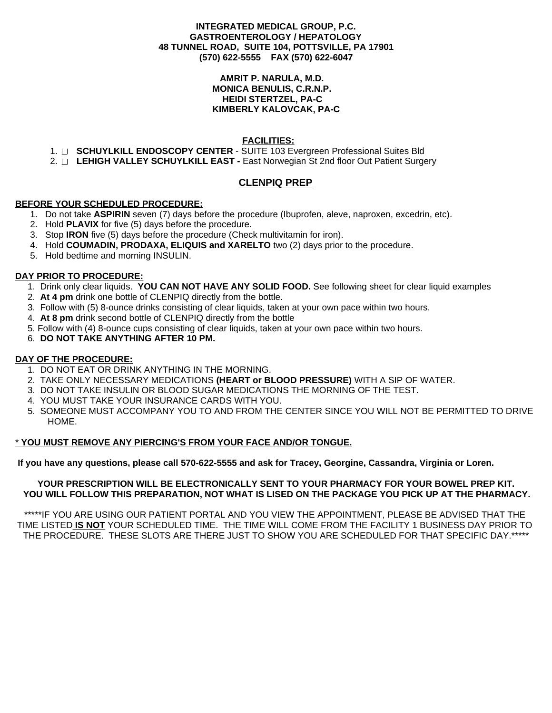### **INTEGRATED MEDICAL GROUP, P.C. GASTROENTEROLOGY / HEPATOLOGY 48 TUNNEL ROAD, SUITE 104, POTTSVILLE, PA 17901 (570) 622-5555 FAX (570) 622-6047**

### **AMRIT P. NARULA, M.D. MONICA BENULIS, C.R.N.P. HEIDI STERTZEL, PA-C KIMBERLY KALOVCAK, PA-C**

# **FACILITIES:**

- 1. **SCHUYLKILL ENDOSCOPY CENTER** SUITE 103 Evergreen Professional Suites Bld
- 2. **LEHIGH VALLEY SCHUYLKILL EAST -** East Norwegian St 2nd floor Out Patient Surgery

# **CLENPIQ PREP**

# **BEFORE YOUR SCHEDULED PROCEDURE:**

- 1. Do not take **ASPIRIN** seven (7) days before the procedure (Ibuprofen, aleve, naproxen, excedrin, etc).
- 2. Hold **PLAVIX** for five (5) days before the procedure.
- 3. Stop **IRON** five (5) days before the procedure (Check multivitamin for iron).
- 4. Hold **COUMADIN, PRODAXA, ELIQUIS and XARELTO** two (2) days prior to the procedure.
- 5. Hold bedtime and morning INSULIN.

### **DAY PRIOR TO PROCEDURE:**

- 1. Drink only clear liquids. **YOU CAN NOT HAVE ANY SOLID FOOD.** See following sheet for clear liquid examples
- 2. **At 4 pm** drink one bottle of CLENPIQ directly from the bottle.
- 3. Follow with (5) 8-ounce drinks consisting of clear liquids, taken at your own pace within two hours.
- 4. **At 8 pm** drink second bottle of CLENPIQ directly from the bottle
- 5. Follow with (4) 8-ounce cups consisting of clear liquids, taken at your own pace within two hours.
- 6. **DO NOT TAKE ANYTHING AFTER 10 PM.**

# **DAY OF THE PROCEDURE:**

- 1. DO NOT EAT OR DRINK ANYTHING IN THE MORNING.
- 2. TAKE ONLY NECESSARY MEDICATIONS **(HEART or BLOOD PRESSURE)** WITH A SIP OF WATER.
- 3. DO NOT TAKE INSULIN OR BLOOD SUGAR MEDICATIONS THE MORNING OF THE TEST.
- 4. YOU MUST TAKE YOUR INSURANCE CARDS WITH YOU.
- 5. SOMEONE MUST ACCOMPANY YOU TO AND FROM THE CENTER SINCE YOU WILL NOT BE PERMITTED TO DRIVE HOME.

# \* **YOU MUST REMOVE ANY PIERCING'S FROM YOUR FACE AND/OR TONGUE.**

If you have any questions, please call 570-622-5555 and ask for Tracey, Georgine, Cassandra, Virginia or Loren.

### **YOUR PRESCRIPTION WILL BE ELECTRONICALLY SENT TO YOUR PHARMACY FOR YOUR BOWEL PREP KIT. YOU WILL FOLLOW THIS PREPARATION, NOT WHAT IS LISED ON THE PACKAGE YOU PICK UP AT THE PHARMACY.**

\*\*\*\*\*IF YOU ARE USING OUR PATIENT PORTAL AND YOU VIEW THE APPOINTMENT, PLEASE BE ADVISED THAT THE TIME LISTED **IS NOT** YOUR SCHEDULED TIME. THE TIME WILL COME FROM THE FACILITY 1 BUSINESS DAY PRIOR TO THE PROCEDURE. THESE SLOTS ARE THERE JUST TO SHOW YOU ARE SCHEDULED FOR THAT SPECIFIC DAY.\*\*\*\*\*